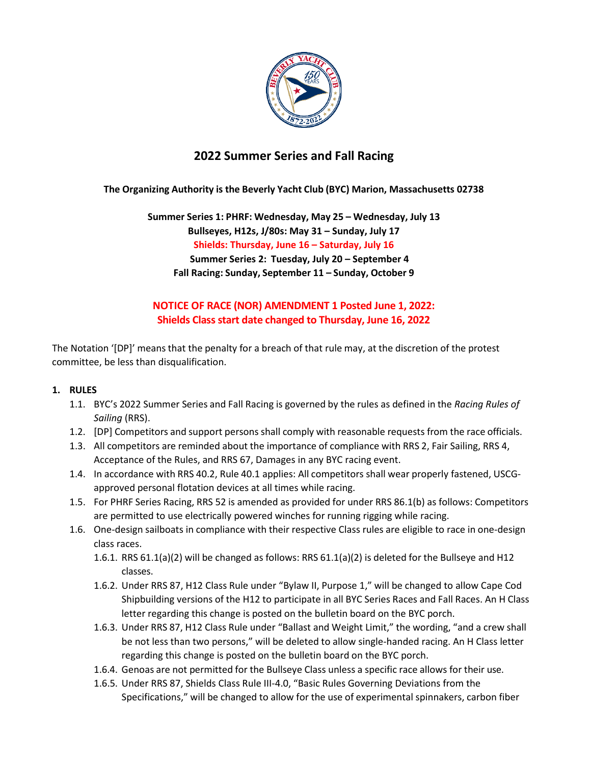

# **2022 Summer Series and Fall Racing**

### **The Organizing Authority is the Beverly Yacht Club (BYC) Marion, Massachusetts 02738**

**Summer Series 1: PHRF: Wednesday, May 25 – Wednesday, July 13 Bullseyes, H12s, J/80s: May 31 – Sunday, July 17 Shields: Thursday, June 16 – Saturday, July 16 Summer Series 2: Tuesday, July 20 – September 4 Fall Racing: Sunday, September 11 – Sunday, October 9**

## **NOTICE OF RACE (NOR) AMENDMENT 1 Posted June 1, 2022: Shields Class start date changed to Thursday, June 16, 2022**

The Notation '[DP]' means that the penalty for a breach of that rule may, at the discretion of the protest committee, be less than disqualification.

### **1. RULES**

- 1.1. BYC's 2022 Summer Series and Fall Racing is governed by the rules as defined in the *Racing Rules of Sailing* (RRS).
- 1.2. [DP] Competitors and support persons shall comply with reasonable requests from the race officials.
- 1.3. All competitors are reminded about the importance of compliance with RRS 2, Fair Sailing, RRS 4, Acceptance of the Rules, and RRS 67, Damages in any BYC racing event.
- 1.4. In accordance with RRS 40.2, Rule 40.1 applies: All competitors shall wear properly fastened, USCGapproved personal flotation devices at all times while racing.
- 1.5. For PHRF Series Racing, RRS 52 is amended as provided for under RRS 86.1(b) as follows: Competitors are permitted to use electrically powered winches for running rigging while racing.
- 1.6. One-design sailboats in compliance with their respective Class rules are eligible to race in one-design class races.
	- 1.6.1. RRS 61.1(a)(2) will be changed as follows: RRS 61.1(a)(2) is deleted for the Bullseye and H12 classes.
	- 1.6.2. Under RRS 87, H12 Class Rule under "Bylaw II, Purpose 1," will be changed to allow Cape Cod Shipbuilding versions of the H12 to participate in all BYC Series Races and Fall Races. An H Class letter regarding this change is posted on the bulletin board on the BYC porch.
	- 1.6.3. Under RRS 87, H12 Class Rule under "Ballast and Weight Limit," the wording, "and a crew shall be not less than two persons," will be deleted to allow single-handed racing. An H Class letter regarding this change is posted on the bulletin board on the BYC porch.
	- 1.6.4. Genoas are not permitted for the Bullseye Class unless a specific race allows for their use.
	- 1.6.5. Under RRS 87, Shields Class Rule III-4.0, "Basic Rules Governing Deviations from the Specifications," will be changed to allow for the use of experimental spinnakers, carbon fiber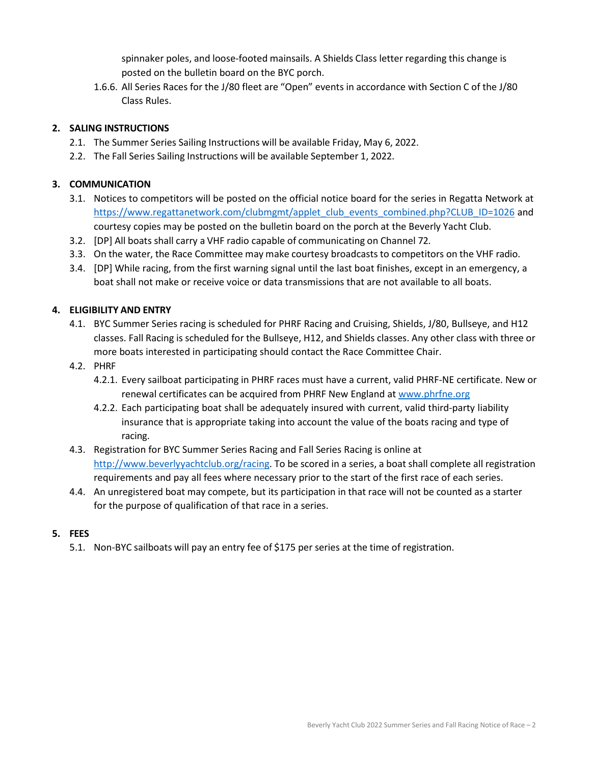spinnaker poles, and loose-footed mainsails. A Shields Class letter regarding this change is posted on the bulletin board on the BYC porch.

1.6.6. All Series Races for the J/80 fleet are "Open" events in accordance with Section C of the J/80 Class Rules.

### **2. SALING INSTRUCTIONS**

- 2.1. The Summer Series Sailing Instructions will be available Friday, May 6, 2022.
- 2.2. The Fall Series Sailing Instructions will be available September 1, 2022.

### **3. COMMUNICATION**

- 3.1. Notices to competitors will be posted on the official notice board for the series in Regatta Network at [https://www.regattanetwork.com/clubmgmt/applet\\_club\\_events\\_combined.php?CLUB\\_ID=1026](https://www.regattanetwork.com/clubmgmt/applet_club_events_combined.php?CLUB_ID=1026) and courtesy copies may be posted on the bulletin board on the porch at the Beverly Yacht Club.
- 3.2. [DP] All boats shall carry a VHF radio capable of communicating on Channel 72.
- 3.3. On the water, the Race Committee may make courtesy broadcasts to competitors on the VHF radio.
- 3.4. [DP] While racing, from the first warning signal until the last boat finishes, except in an emergency, a boat shall not make or receive voice or data transmissions that are not available to all boats.

### **4. ELIGIBILITY AND ENTRY**

- 4.1. BYC Summer Series racing is scheduled for PHRF Racing and Cruising, Shields, J/80, Bullseye, and H12 classes. Fall Racing is scheduled for the Bullseye, H12, and Shields classes. Any other class with three or more boats interested in participating should contact the Race Committee Chair.
- 4.2. PHRF
	- 4.2.1. Every sailboat participating in PHRF races must have a current, valid PHRF-NE certificate. New or renewal certificates can be acquired from PHRF New England at [www.phrfne.org](http://www.phrfne.org/)
	- 4.2.2. Each participating boat shall be adequately insured with current, valid third-party liability insurance that is appropriate taking into account the value of the boats racing and type of racing.
- 4.3. Registration for BYC Summer Series Racing and Fall Series Racing is online at [http://www.beverlyyachtclub.org/racing. T](http://www.beverlyyachtclub.org/racing)o be scored in a series, a boat shall complete all registration requirements and pay all fees where necessary prior to the start of the first race of each series.
- 4.4. An unregistered boat may compete, but its participation in that race will not be counted as a starter for the purpose of qualification of that race in a series.

### **5. FEES**

5.1. Non-BYC sailboats will pay an entry fee of \$175 per series at the time of registration.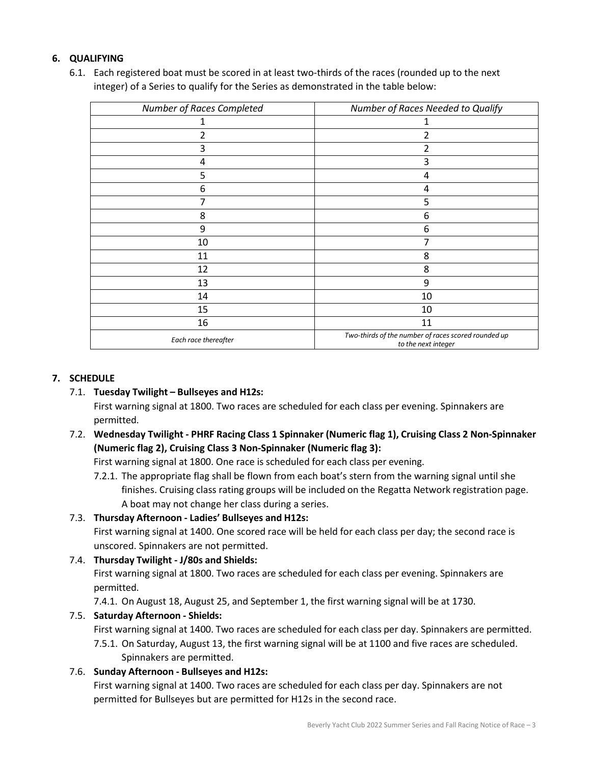### **6. QUALIFYING**

6.1. Each registered boat must be scored in at least two-thirds of the races (rounded up to the next integer) of a Series to qualify for the Series as demonstrated in the table below:

| Number of Races Completed | Number of Races Needed to Qualify                                          |
|---------------------------|----------------------------------------------------------------------------|
|                           |                                                                            |
| 2                         | 2                                                                          |
| 3                         | 2                                                                          |
| 4                         | 3                                                                          |
| 5                         | 4                                                                          |
| 6                         | 4                                                                          |
| 7                         | 5                                                                          |
| 8                         | 6                                                                          |
| 9                         | 6                                                                          |
| 10                        |                                                                            |
| 11                        | 8                                                                          |
| 12                        | 8                                                                          |
| 13                        | 9                                                                          |
| 14                        | 10                                                                         |
| 15                        | 10                                                                         |
| 16                        | 11                                                                         |
| Each race thereafter      | Two-thirds of the number of races scored rounded up<br>to the next integer |

### **7. SCHEDULE**

7.1. **Tuesday Twilight – Bullseyes and H12s:**

First warning signal at 1800. Two races are scheduled for each class per evening. Spinnakers are permitted.

7.2. **Wednesday Twilight - PHRF Racing Class 1 Spinnaker (Numeric flag 1), Cruising Class 2 Non-Spinnaker (Numeric flag 2), Cruising Class 3 Non-Spinnaker (Numeric flag 3):**

First warning signal at 1800. One race is scheduled for each class per evening.

7.2.1. The appropriate flag shall be flown from each boat's stern from the warning signal until she finishes. Cruising class rating groups will be included on the Regatta Network registration page. A boat may not change her class during a series.

#### 7.3. **Thursday Afternoon - Ladies' Bullseyes and H12s:**

First warning signal at 1400. One scored race will be held for each class per day; the second race is unscored. Spinnakers are not permitted.

7.4. **Thursday Twilight - J/80s and Shields:** First warning signal at 1800. Two races are scheduled for each class per evening. Spinnakers are permitted.

7.4.1. On August 18, August 25, and September 1, the first warning signal will be at 1730.

### 7.5. **Saturday Afternoon - Shields:**

First warning signal at 1400. Two races are scheduled for each class per day. Spinnakers are permitted.

7.5.1. On Saturday, August 13, the first warning signal will be at 1100 and five races are scheduled. Spinnakers are permitted.

#### 7.6. **Sunday Afternoon - Bullseyes and H12s:**

First warning signal at 1400. Two races are scheduled for each class per day. Spinnakers are not permitted for Bullseyes but are permitted for H12s in the second race.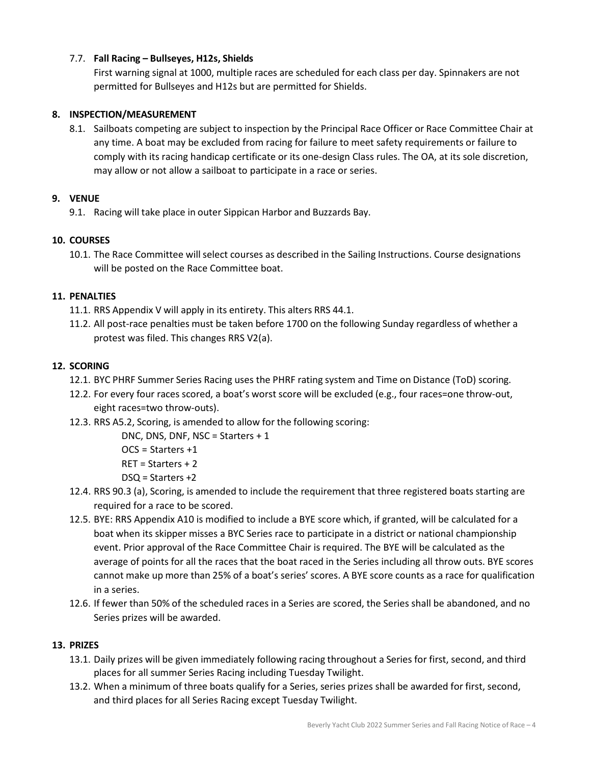### 7.7. **Fall Racing – Bullseyes, H12s, Shields**

First warning signal at 1000, multiple races are scheduled for each class per day. Spinnakers are not permitted for Bullseyes and H12s but are permitted for Shields.

#### **8. INSPECTION/MEASUREMENT**

8.1. Sailboats competing are subject to inspection by the Principal Race Officer or Race Committee Chair at any time. A boat may be excluded from racing for failure to meet safety requirements or failure to comply with its racing handicap certificate or its one-design Class rules. The OA, at its sole discretion, may allow or not allow a sailboat to participate in a race or series.

#### **9. VENUE**

9.1. Racing will take place in outer Sippican Harbor and Buzzards Bay.

#### **10. COURSES**

10.1. The Race Committee will select courses as described in the Sailing Instructions. Course designations will be posted on the Race Committee boat.

#### **11. PENALTIES**

- 11.1. RRS Appendix V will apply in its entirety. This alters RRS 44.1.
- 11.2. All post-race penalties must be taken before 1700 on the following Sunday regardless of whether a protest was filed. This changes RRS V2(a).

#### **12. SCORING**

- 12.1. BYC PHRF Summer Series Racing uses the PHRF rating system and Time on Distance (ToD) scoring.
- 12.2. For every four races scored, a boat's worst score will be excluded (e.g., four races=one throw-out, eight races=two throw-outs).
- 12.3. RRS A5.2, Scoring, is amended to allow for the following scoring:

DNC, DNS, DNF, NSC = Starters + 1

- OCS = Starters +1
- RET = Starters + 2
- DSQ = Starters +2
- 12.4. RRS 90.3 (a), Scoring, is amended to include the requirement that three registered boats starting are required for a race to be scored.
- 12.5. BYE: RRS Appendix A10 is modified to include a BYE score which, if granted, will be calculated for a boat when its skipper misses a BYC Series race to participate in a district or national championship event. Prior approval of the Race Committee Chair is required. The BYE will be calculated as the average of points for all the races that the boat raced in the Series including all throw outs. BYE scores cannot make up more than 25% of a boat's series' scores. A BYE score counts as a race for qualification in a series.
- 12.6. If fewer than 50% of the scheduled races in a Series are scored, the Series shall be abandoned, and no Series prizes will be awarded.

#### **13. PRIZES**

- 13.1. Daily prizes will be given immediately following racing throughout a Series for first, second, and third places for all summer Series Racing including Tuesday Twilight.
- 13.2. When a minimum of three boats qualify for a Series, series prizes shall be awarded for first, second, and third places for all Series Racing except Tuesday Twilight.